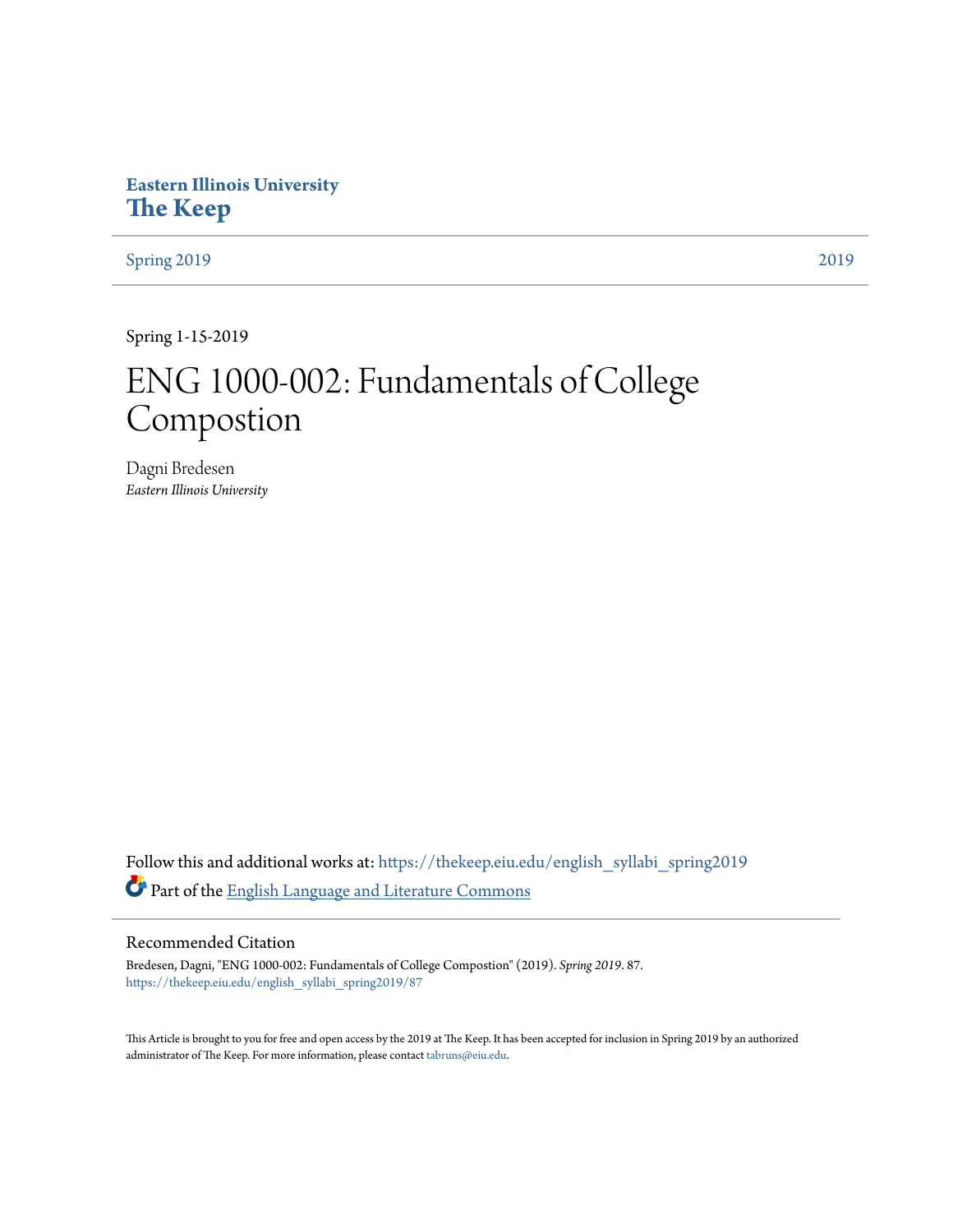# **Eastern Illinois University [The Keep](https://thekeep.eiu.edu?utm_source=thekeep.eiu.edu%2Fenglish_syllabi_spring2019%2F87&utm_medium=PDF&utm_campaign=PDFCoverPages)**

[Spring 2019](https://thekeep.eiu.edu/english_syllabi_spring2019?utm_source=thekeep.eiu.edu%2Fenglish_syllabi_spring2019%2F87&utm_medium=PDF&utm_campaign=PDFCoverPages) [2019](https://thekeep.eiu.edu/english_syllabi2019?utm_source=thekeep.eiu.edu%2Fenglish_syllabi_spring2019%2F87&utm_medium=PDF&utm_campaign=PDFCoverPages)

Spring 1-15-2019

# ENG 1000-002: Fundamentals of College Compostion

Dagni Bredesen *Eastern Illinois University*

Follow this and additional works at: [https://thekeep.eiu.edu/english\\_syllabi\\_spring2019](https://thekeep.eiu.edu/english_syllabi_spring2019?utm_source=thekeep.eiu.edu%2Fenglish_syllabi_spring2019%2F87&utm_medium=PDF&utm_campaign=PDFCoverPages) Part of the [English Language and Literature Commons](http://network.bepress.com/hgg/discipline/455?utm_source=thekeep.eiu.edu%2Fenglish_syllabi_spring2019%2F87&utm_medium=PDF&utm_campaign=PDFCoverPages)

# Recommended Citation

Bredesen, Dagni, "ENG 1000-002: Fundamentals of College Compostion" (2019). *Spring 2019*. 87. [https://thekeep.eiu.edu/english\\_syllabi\\_spring2019/87](https://thekeep.eiu.edu/english_syllabi_spring2019/87?utm_source=thekeep.eiu.edu%2Fenglish_syllabi_spring2019%2F87&utm_medium=PDF&utm_campaign=PDFCoverPages)

This Article is brought to you for free and open access by the 2019 at The Keep. It has been accepted for inclusion in Spring 2019 by an authorized administrator of The Keep. For more information, please contact [tabruns@eiu.edu.](mailto:tabruns@eiu.edu)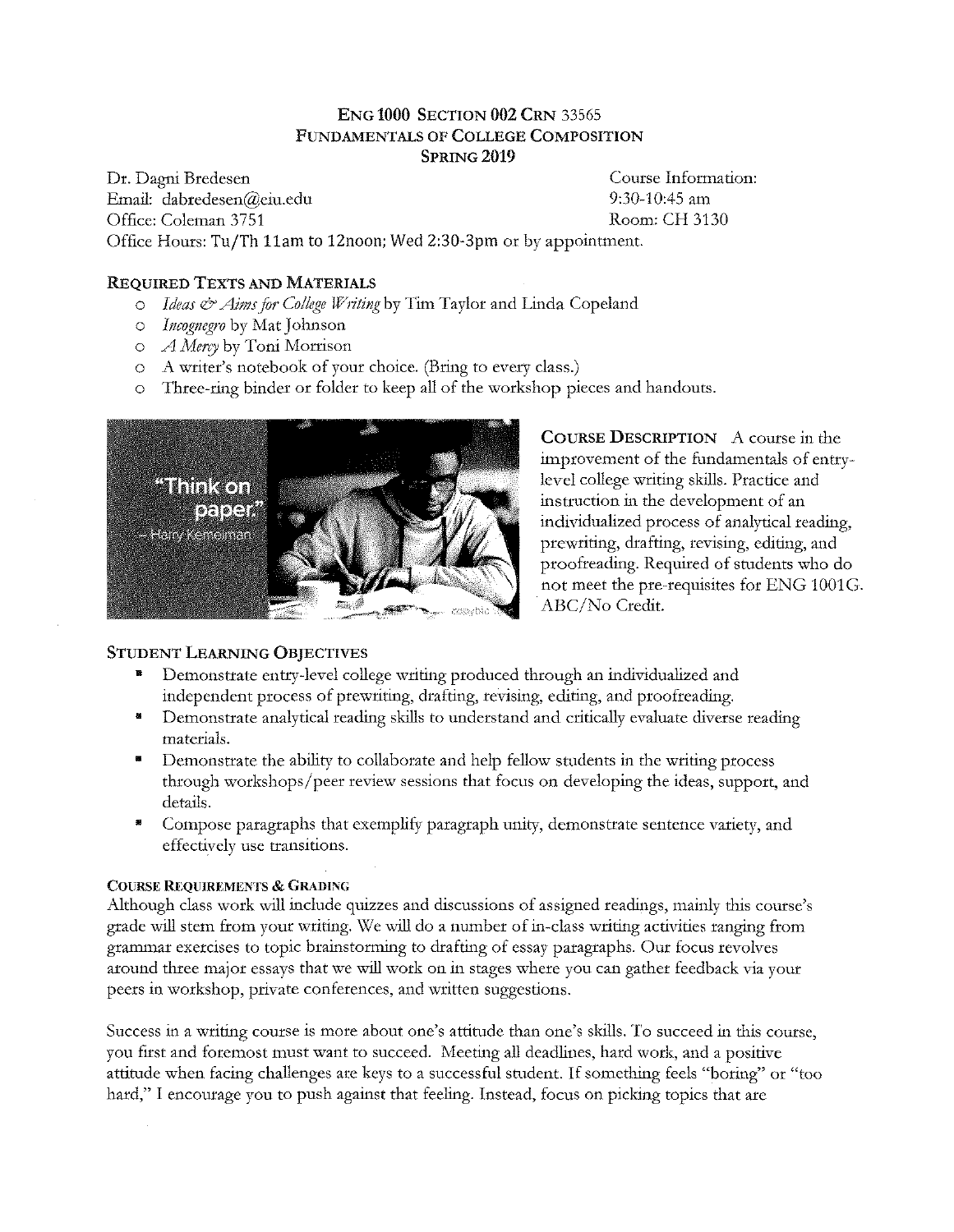# ENG 1000 SECTION 002 CRN 33565 FUNDAMENTALS OF COLLEGE COMPOSITION SPRING<sub>2019</sub>

Dr. Dagni Bredesen Course Information: Email: dabredesen@ciu.edu 9:30-10:45 am Office: Coleman 3751 Room: CH 3130 Office Hours: Tu/Th llam to 12noon; Wed 2:30-3pm or by appointment.

# REQUIRED TEXTS AND MATERIALS

- o *Ideas* & *Aims.for College Writing* by Tim Taylor and Linda Copeland
- $\circ$  *Incognegro* by Mat Johnson
- o *A Mercy* by Toni Morrison
- o A writer's notebook of your choice. (Bring to every class.)
- o Three-ring binder or folder to keep all of the workshop pieces and handouts.



COURSE DESCRIPTION A course in the improvement of the fundamentals of entrylevel college writing skills. Practice and instruction in the development of an individualized process of analytical reading, prewtiting, drafting, revising, editing, and proofreading. Required of students who do not meet the pre-requisites for ENG 1001G. ABC/No Credit.

# STUDENT LEARNING OBJECTIVES

- Demonstrate entry-level college writing produced through an individualized and independent process of prewriting, drafting, revising, editing, and proofreading.
- Demonstrate analytical reading skills to understand and critically evaluate diverse reading materials.
- Demonstrate the ability to collaborate and help fellow students in the writing process through workshops/peer review sessions that focus on developing the ideas, support, and details.
- Compose paragraphs that exemplify paragraph unity, demonstrate sentence variety, and effectively use transitions.

## COURSE REQUIREMENTS & GRADING

Although class work will include quizzes and discussions of assigned readings, mainly this course's grade will stem from your writing. We will do a number of in-class writing activities ranging from grammar exercises to topic brainstorming to drafting of essay paragraphs. Our focus revolves around three major essays that we will work on in stages where you can gather feedback via your peers in workshop, private conferences, and written suggestions.

Success in a writing course is more about one's attitude than one's skills. To succeed in this course, you first and foremost must want to succeed. Meeting all deadlines, hard work, and a positive attitude when facing challenges are keys to a successful student. If something feels "bating" or "too hard," I encourage you to push against that feeling. Instead, focus on picking topics that are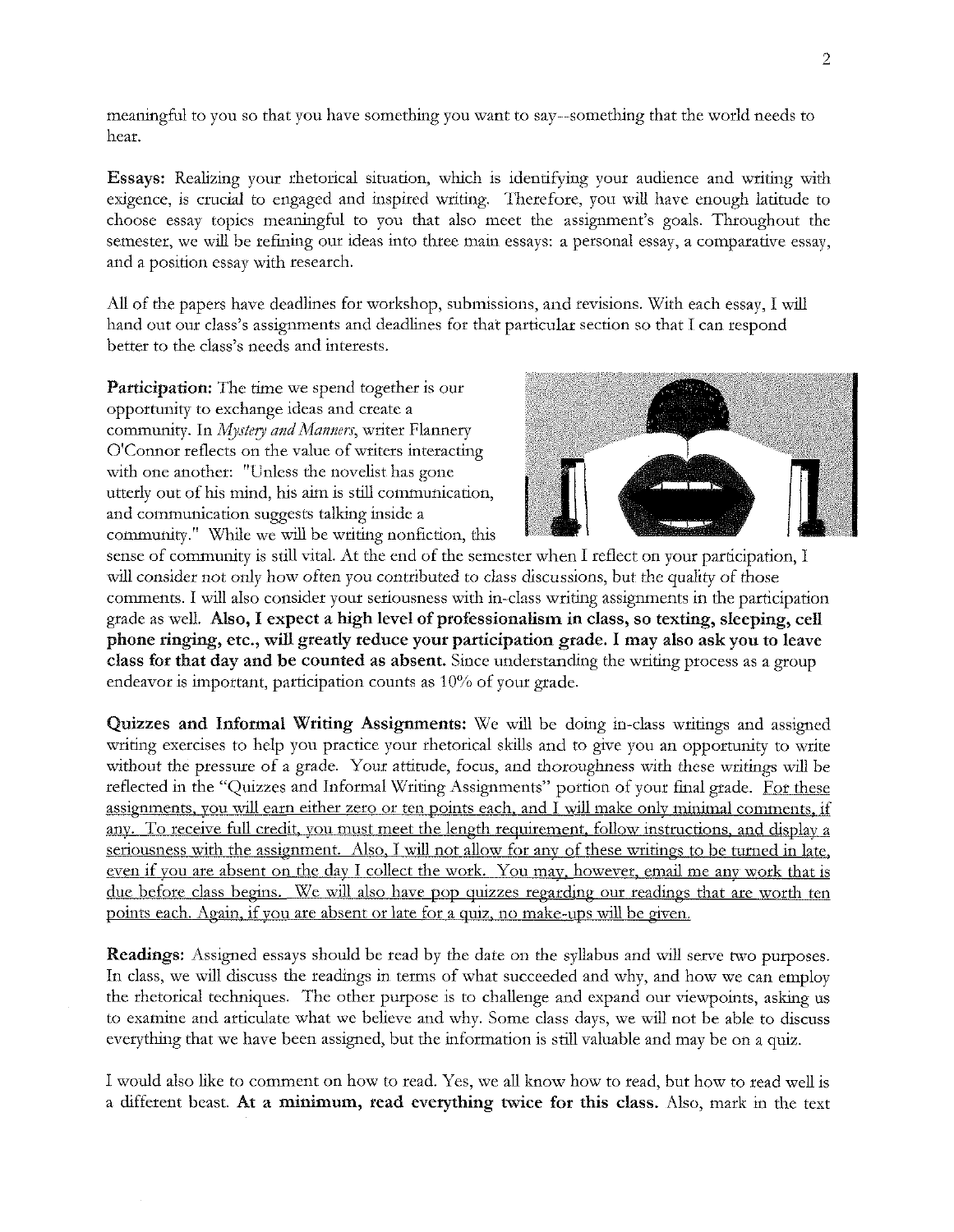meaningful to you so that you have something you want to say--something that the world needs to hear.

Essays: Realizing your rhetorical situation, which is identifying your audience and writing with exigence, is cmcial to engaged and inspired writing. Therefore, you will have enough latitude to choose essay topics meaningful to you that also meet the assignment's goals. Throughout the semester, we will be refining our ideas into three main essays: a personal essay, a comparative essay, and a position essay with research.

All of the papers have deadlines for workshop, submissions, and revisions. With each essay, I will hand out our class's assignments and deadlines for that particular section so that I can respond better to the class's needs and interests.

Participation: The time we spend together is our opportunity to exchange ideas and create a community. In *Mystery and Manners,* writer Flannery O'Connor reflects on the value of writers interacting with one another: "Unless the novelist has gone utterly out of his mind, his aim is still communication, and communication suggests talking inside a community." While we will be writing nonfiction, this



sense of community is still vital. At the end of the semester when I reflect on your participation, I will consider not only how often you contributed to class discussions, but the quality of those comments. I will also consider your seriousness with in-class writing assignments in the participation grade as well. Also, I expect a high level of professionalism in class, so texting, sleeping, cell phone ringing, etc., will greatly reduce your participation grade. I may also ask you to leave class for that day and be counted as absent. Since understanding the writing process as a group endeavor is important, participation counts as 10% of your grade.

Quizzes and Informal Writing Assignments: We will be doing in-class writings and assigned writing exercises to help you practice your rhetorical skills and to give you an opportunity to write without the pressure of a grade. Your attitude, focus, and thoroughness with these writings will be reflected in the "Quizzes and Informal Writing Assignments" portion of your final grade. For these assignments, you will earn either zero or ten points each, and I will make only minimal comments, if any. To receive full credit, you must meet the length requirement, follow instructions, and display a seriousness with the assignment. Also, I will not allow for any of these writings to be turned in late, even if you are absent on the day I collect the work. You may, however, email me any work that is due before class begins. We will also have pop quizzes regarding our readings that are worth ten points each. Again, if you are absent or late for a quiz. no make-ups will be given.

Readings: Assigned essays should be read by the date on the syllabus and will serve two purposes. In class, we will discuss the readings in terms of what succeeded and why, and how we can employ the rhetorical techniques. The other purpose is to challenge and expand our viewpoints, asking us to examine and articulate what we believe and why. Some class days, we will not be able to discuss everything that we have been assigned, but the information is still valuable and may be on a quiz.

I would also like to comment on how to read. Yes, we all know how to read, but how to read well is a different beast. At a minimum, read everything twice for this class. Also, mark in the text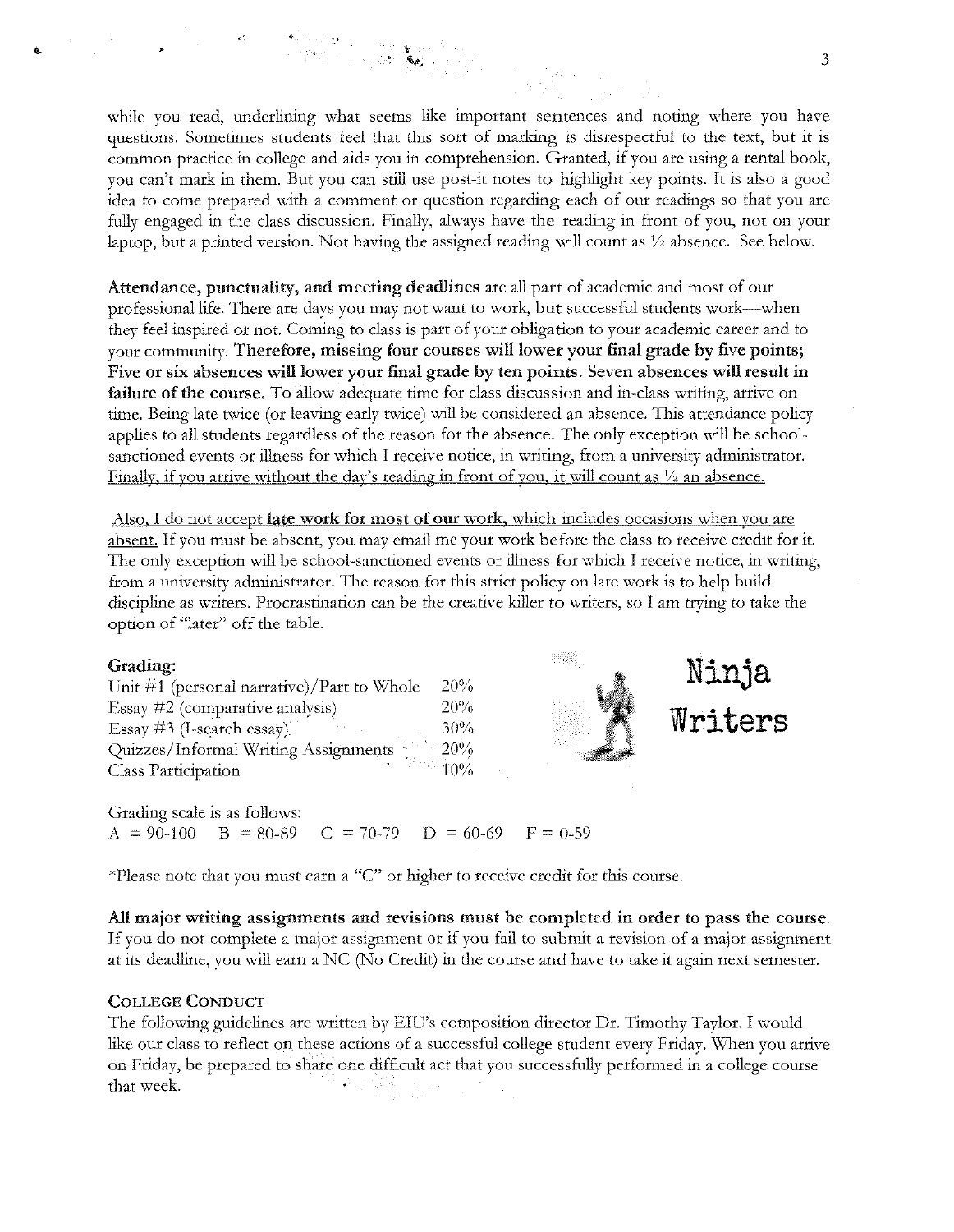while you read, underlining what seems like important sentences and noting where you have questions. Sometimes students feel that this sort of marking is disrespectful to the text, but it is common practice in college and aids you in comprehension. Granted, if you are using a rental book, you can't mark in them. But you can still use post-it notes to highlight key points. It is also a good idea to come prepared with a comment or question regarding each of our readings so that you are fully engaged in the class discussion. Finally, always have the reading in front of you, not on your laptop, hut a printed version. Not having the assigned reading will count as 1/z absence. See helow.

Attendance, punctuality, and meeting deadlines are all part of academic and most of our professional life. There are days you may not want to work, but successful students work-when they feel inspired or not. Coming to class is part of your obligation to your academic career and to your community. Therefore, missing four courses will lower your final grade by five points; Five or six absences will lower your final grade by ten points. Seven absences will result in failure of the course. To allow adequate time for class discussion and in-class writing, arrive on time. Being late twice (or leaving early twice) will be considered an absence. This attendance policy applies to all students regardless of the reason for the absence. The only exception will be schoolsanctioned events or illness for which I receive notice, in writing, from a university administrator. Finally. if you arrive without the day's reading in front of you. it will count as *Yz* an absence.

Also, I do not accept late work for most of our work, which includes occasions when you are absent. If you must be absent, you may email me your work before the class to receive credit for it. The only exception will be school-sanctioned events or illness for which I receive notice, in writing, from a university administrator. The reason for this strict policy on late work is to help build discipline as writers. Procrastination can be the creative killer to writers, so I am tiying to take the option of "later" off the table.

#### Grading:

| Unit $\#1$ (personal narrative)/Part to Whole | 20%               |
|-----------------------------------------------|-------------------|
| Essay #2 (comparative analysis)               | 20%               |
| Essay #3 (I-search essay)                     | $30\%$            |
| Quizzes/Informal Writing Assignments          | $-20%$            |
| Class Participation                           | $\frac{3}{2}$ 10% |



**Ninja** 

**Writers** 

Grading scale is as follows:  $A = 90-100$  B = 80-89 C = 70-79 D = 60-69 F = 0-59

\*Please note that you must earn a "C" or higher to receive credit for this course.

All major writing assignments and revisions must be completed in order to pass the course. If you do not complete a major assignment or if you fail to submit a revision of a major assignment at its deadline, you will earn a NC (No Credit) in the course and have to take it again next semester.

#### COLLEGE CONDUCT

The following guidelines are written by EIC's composition director Dr. Timothy Taylor. I would like our class to reflect on these actions of a successful college student every Friday. When you arrive on Friday, be prepared to share one difficult act that you successfully performed in a college course that week.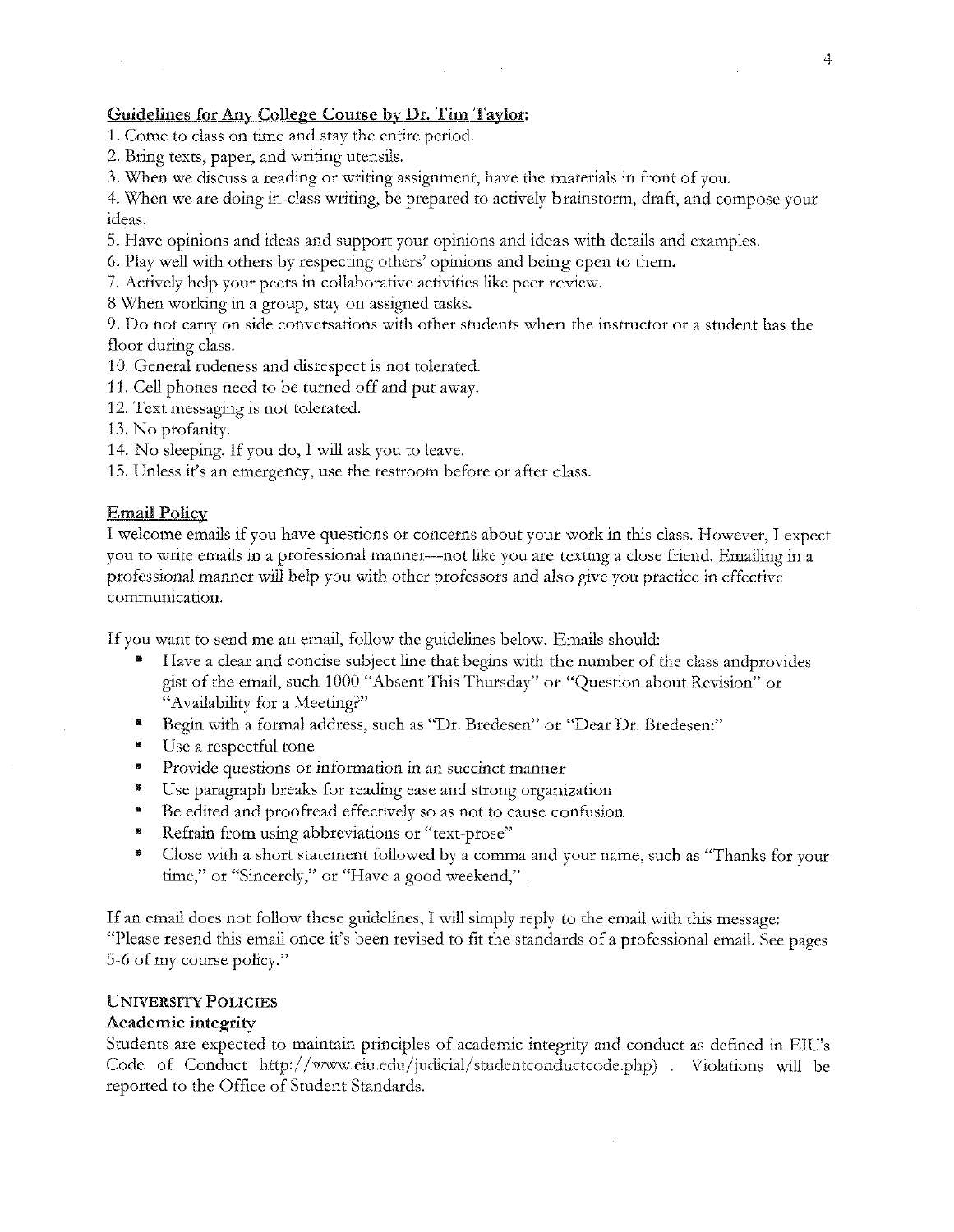# Guidelines for Any College Course by Dr. Tim Taylor:

- 1. Come to class on time and stay the entire period.
- 2. Bring texts, paper, and writing utensils.
- **3.** When we discuss a reading or writing assignment, have the materials in front of you.

4. When we are doing in-class writing, be prepared to actively brainstorm, draft, and compose your ideas.

- 5. Have opinions and ideas and support your opinions and ideas with details and examples.
- 6. Play well with others by respecting others' opinions and being open to them.
- 7. Actively help your peers in collaborative activities like peer review.
- 8 When working in a group, stay on assigned tasks.

9. Do not carry on side conversations with other students when the instructor or a student has the floor during class.

- 10. General rudeness and disrespect is not tolerated.
- 11. Cell phones need to be turned off and put away.
- 12. Text messaging is not tolerated.
- 13. No profanity.
- 14. No sleeping. If you do, I will ask you to leave.
- 15. Unless it's an emergency, use the restroom before or after class.

#### Email Policy

I welcome emails if you have questions or concerns about your work in this class. However, I expect you to write emails in a professional manner--not like you are tcxting a close friend. Emailing in a professional manner will help you with other professors and also give you practice in effective **communication.** 

If you want to send me an email, follow the guidelines below. Emails should:

- Have a clear and concise subject line that begins with the number of the class andprovides gist of the email, such 1000 "Absent This Thursday" or "Question about Revision" or "Availability for a Meeting?"
- Begin with a formal address, such as "Dr. Bredesen" or "Dear Dr. Bredesen:"
- Use a respectful tone
- <sup> $\blacksquare$  Provide questions or information in an succinct manner</sup>
- Use paragraph breaks for reading ease and strong organization
- Be edited and proofread effectively so as not to cause confusion
- <sup>8</sup> Refrain from using abbreviations or "text-prose"
- Close with a short statement followed by a comma and your name, such as "Thanks for your time," or "Sincerely," or "Have a good weekend,"

If an email does not follow these guidelines, I will simply reply to the email with this message: "Please resend this email once it's been revised to fit the standards of a professional email. See pages 5-6 of my course policy."

#### UNIVERSITY POLICIES

#### Academic integrity

Students are expected to maintain principles of academic integrity and conduct as defined in EIU's Code of Conduct http://www.eiu.edu/judicial/studentconductcode.php) . Violations will be reported to the Office of Student Standards.